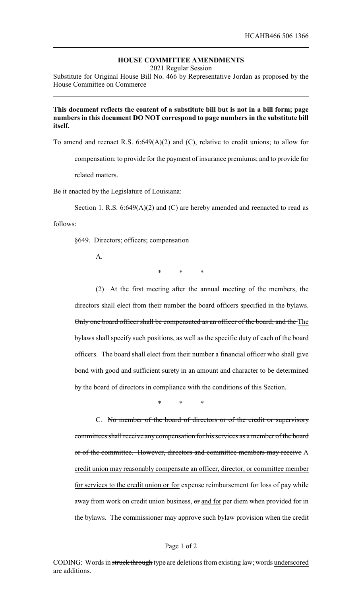## **HOUSE COMMITTEE AMENDMENTS**

2021 Regular Session

Substitute for Original House Bill No. 466 by Representative Jordan as proposed by the House Committee on Commerce

## **This document reflects the content of a substitute bill but is not in a bill form; page numbers in this document DO NOT correspond to page numbers in the substitute bill itself.**

To amend and reenact R.S. 6:649(A)(2) and (C), relative to credit unions; to allow for

compensation; to provide for the payment of insurance premiums; and to provide for

related matters.

Be it enacted by the Legislature of Louisiana:

Section 1. R.S. 6:649(A)(2) and (C) are hereby amended and reenacted to read as

follows:

§649. Directors; officers; compensation

A.

\* \* \*

(2) At the first meeting after the annual meeting of the members, the directors shall elect from their number the board officers specified in the bylaws. Only one board officer shall be compensated as an officer of the board; and the The bylaws shall specify such positions, as well as the specific duty of each of the board officers. The board shall elect from their number a financial officer who shall give bond with good and sufficient surety in an amount and character to be determined by the board of directors in compliance with the conditions of this Section.

\* \* \*

C. No member of the board of directors or of the credit or supervisory committees shall receive any compensation for his services as a member of the board or of the committee. However, directors and committee members may receive  $\underline{A}$ credit union may reasonably compensate an officer, director, or committee member for services to the credit union or for expense reimbursement for loss of pay while away from work on credit union business, or and for per diem when provided for in the bylaws. The commissioner may approve such bylaw provision when the credit